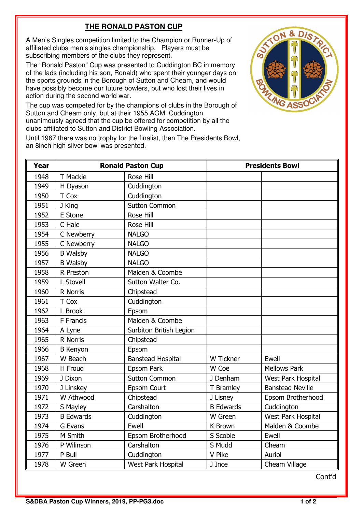## **THE RONALD PASTON CUP**

A Men's Singles competition limited to the Champion or Runner-Up of affiliated clubs men's singles championship. Players must be subscribing members of the clubs they represent.

The "Ronald Paston" Cup was presented to Cuddington BC in memory of the lads (including his son, Ronald) who spent their younger days on the sports grounds in the Borough of Sutton and Cheam, and would have possibly become our future bowlers, but who lost their lives in action during the second world war.

The cup was competed for by the champions of clubs in the Borough of Sutton and Cheam only, but at their 1955 AGM, Cuddington unanimously agreed that the cup be offered for competition by all the clubs affiliated to Sutton and District Bowling Association.



Until 1967 there was no trophy for the finalist, then The Presidents Bowl, an 8inch high silver bowl was presented.

| Year | <b>Ronald Paston Cup</b> |                           | <b>Presidents Bowl</b> |                         |
|------|--------------------------|---------------------------|------------------------|-------------------------|
| 1948 | T Mackie                 | Rose Hill                 |                        |                         |
| 1949 | H Dyason                 | Cuddington                |                        |                         |
| 1950 | T Cox                    | Cuddington                |                        |                         |
| 1951 | J King                   | <b>Sutton Common</b>      |                        |                         |
| 1952 | E Stone                  | Rose Hill                 |                        |                         |
| 1953 | C Hale                   | Rose Hill                 |                        |                         |
| 1954 | C Newberry               | <b>NALGO</b>              |                        |                         |
| 1955 | C Newberry               | <b>NALGO</b>              |                        |                         |
| 1956 | <b>B</b> Walsby          | <b>NALGO</b>              |                        |                         |
| 1957 | <b>B</b> Walsby          | <b>NALGO</b>              |                        |                         |
| 1958 | R Preston                | Malden & Coombe           |                        |                         |
| 1959 | L Stovell                | Sutton Walter Co.         |                        |                         |
| 1960 | R Norris                 | Chipstead                 |                        |                         |
| 1961 | T Cox                    | Cuddington                |                        |                         |
| 1962 | L Brook                  | Epsom                     |                        |                         |
| 1963 | F Francis                | Malden & Coombe           |                        |                         |
| 1964 | A Lyne                   | Surbiton British Legion   |                        |                         |
| 1965 | R Norris                 | Chipstead                 |                        |                         |
| 1966 | <b>B</b> Kenyon          | Epsom                     |                        |                         |
| 1967 | W Beach                  | <b>Banstead Hospital</b>  | W Tickner              | Ewell                   |
| 1968 | H Froud                  | Epsom Park                | W Coe                  | <b>Mellows Park</b>     |
| 1969 | J Dixon                  | <b>Sutton Common</b>      | J Denham               | West Park Hospital      |
| 1970 | J Linskey                | Epsom Court               | T Bramley              | <b>Banstead Neville</b> |
| 1971 | W Athwood                | Chipstead                 | J Lisney               | Epsom Brotherhood       |
| 1972 | S Mayley                 | Carshalton                | <b>B Edwards</b>       | Cuddington              |
| 1973 | <b>B</b> Edwards         | Cuddington                | W Green                | West Park Hospital      |
| 1974 | G Evans                  | Ewell                     | K Brown                | Malden & Coombe         |
| 1975 | M Smith                  | Epsom Brotherhood         | S Scobie               | Ewell                   |
| 1976 | P Wilinson               | Carshalton                | S Mudd                 | Cheam                   |
| 1977 | P Bull                   | Cuddington                | V Pike                 | Auriol                  |
| 1978 | W Green                  | <b>West Park Hospital</b> | J Ince                 | Cheam Village           |

Cont'd